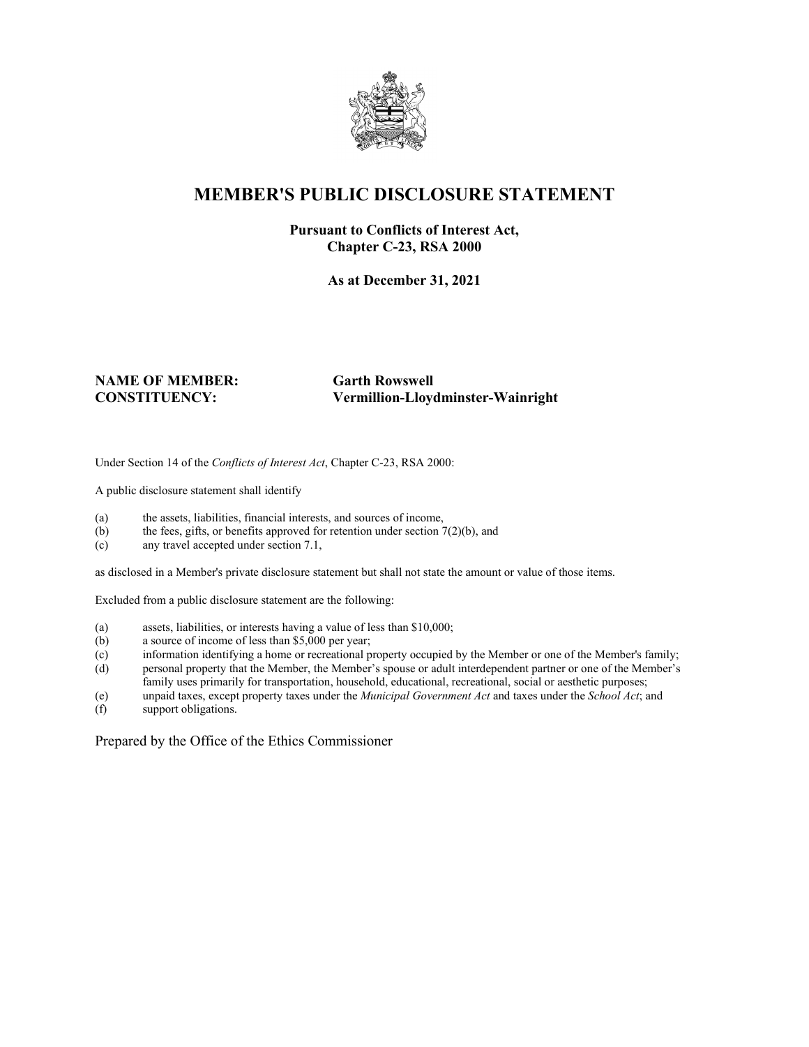

## **MEMBER'S PUBLIC DISCLOSURE STATEMENT**

#### **Pursuant to Conflicts of Interest Act, Chapter C-23, RSA 2000**

**As at December 31, 2021**

# **NAME OF MEMBER: Garth Rowswell**

**CONSTITUENCY: Vermillion-Lloydminster-Wainright**

Under Section 14 of the *Conflicts of Interest Act*, Chapter C-23, RSA 2000:

A public disclosure statement shall identify

- (a) the assets, liabilities, financial interests, and sources of income,
- (b) the fees, gifts, or benefits approved for retention under section  $7(2)(b)$ , and
- (c) any travel accepted under section 7.1,

as disclosed in a Member's private disclosure statement but shall not state the amount or value of those items.

Excluded from a public disclosure statement are the following:

- (a) assets, liabilities, or interests having a value of less than \$10,000;
- (b) a source of income of less than \$5,000 per year;
- (c) information identifying a home or recreational property occupied by the Member or one of the Member's family;
- (d) personal property that the Member, the Member's spouse or adult interdependent partner or one of the Member's family uses primarily for transportation, household, educational, recreational, social or aesthetic purposes;
- (e) unpaid taxes, except property taxes under the *Municipal Government Act* and taxes under the *School Act*; and
- support obligations.

Prepared by the Office of the Ethics Commissioner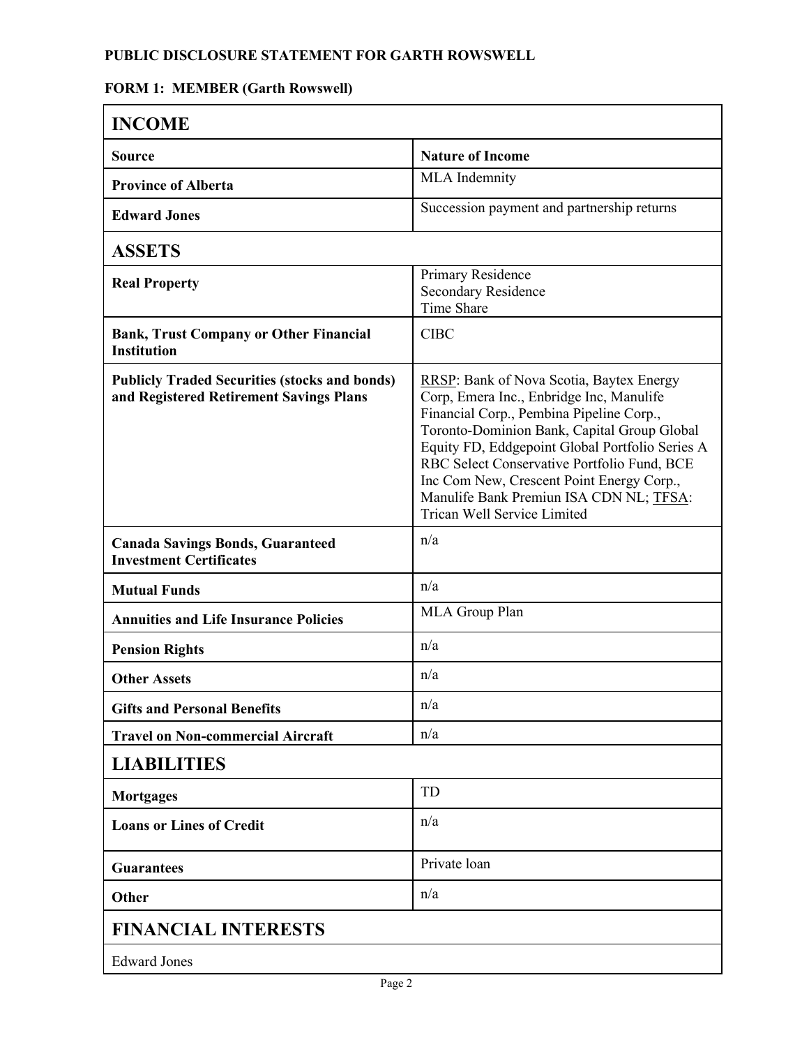#### **PUBLIC DISCLOSURE STATEMENT FOR GARTH ROWSWELL**

### **FORM 1: MEMBER (Garth Rowswell)**

| <b>INCOME</b>                                                                                   |                                                                                                                                                                                                                                                                                                                                                                                                                 |
|-------------------------------------------------------------------------------------------------|-----------------------------------------------------------------------------------------------------------------------------------------------------------------------------------------------------------------------------------------------------------------------------------------------------------------------------------------------------------------------------------------------------------------|
| <b>Source</b>                                                                                   | <b>Nature of Income</b>                                                                                                                                                                                                                                                                                                                                                                                         |
| <b>Province of Alberta</b>                                                                      | <b>MLA</b> Indemnity                                                                                                                                                                                                                                                                                                                                                                                            |
| <b>Edward Jones</b>                                                                             | Succession payment and partnership returns                                                                                                                                                                                                                                                                                                                                                                      |
| <b>ASSETS</b>                                                                                   |                                                                                                                                                                                                                                                                                                                                                                                                                 |
| <b>Real Property</b>                                                                            | Primary Residence<br><b>Secondary Residence</b><br>Time Share                                                                                                                                                                                                                                                                                                                                                   |
| <b>Bank, Trust Company or Other Financial</b><br><b>Institution</b>                             | <b>CIBC</b>                                                                                                                                                                                                                                                                                                                                                                                                     |
| <b>Publicly Traded Securities (stocks and bonds)</b><br>and Registered Retirement Savings Plans | <b>RRSP:</b> Bank of Nova Scotia, Baytex Energy<br>Corp, Emera Inc., Enbridge Inc, Manulife<br>Financial Corp., Pembina Pipeline Corp.,<br>Toronto-Dominion Bank, Capital Group Global<br>Equity FD, Eddgepoint Global Portfolio Series A<br>RBC Select Conservative Portfolio Fund, BCE<br>Inc Com New, Crescent Point Energy Corp.,<br>Manulife Bank Premiun ISA CDN NL; TFSA:<br>Trican Well Service Limited |
| <b>Canada Savings Bonds, Guaranteed</b><br><b>Investment Certificates</b>                       | n/a                                                                                                                                                                                                                                                                                                                                                                                                             |
| <b>Mutual Funds</b>                                                                             | n/a                                                                                                                                                                                                                                                                                                                                                                                                             |
| <b>Annuities and Life Insurance Policies</b>                                                    | MLA Group Plan                                                                                                                                                                                                                                                                                                                                                                                                  |
| <b>Pension Rights</b>                                                                           | n/a                                                                                                                                                                                                                                                                                                                                                                                                             |
| <b>Other Assets</b>                                                                             | n/a                                                                                                                                                                                                                                                                                                                                                                                                             |
| <b>Gifts and Personal Benefits</b>                                                              | n/a                                                                                                                                                                                                                                                                                                                                                                                                             |
| <b>Travel on Non-commercial Aircraft</b>                                                        | n/a                                                                                                                                                                                                                                                                                                                                                                                                             |
| <b>LIABILITIES</b>                                                                              |                                                                                                                                                                                                                                                                                                                                                                                                                 |
| <b>Mortgages</b>                                                                                | TD                                                                                                                                                                                                                                                                                                                                                                                                              |
| <b>Loans or Lines of Credit</b>                                                                 | n/a                                                                                                                                                                                                                                                                                                                                                                                                             |
| <b>Guarantees</b>                                                                               | Private loan                                                                                                                                                                                                                                                                                                                                                                                                    |
| Other                                                                                           | n/a                                                                                                                                                                                                                                                                                                                                                                                                             |
| <b>FINANCIAL INTERESTS</b>                                                                      |                                                                                                                                                                                                                                                                                                                                                                                                                 |
| <b>Edward Jones</b>                                                                             |                                                                                                                                                                                                                                                                                                                                                                                                                 |